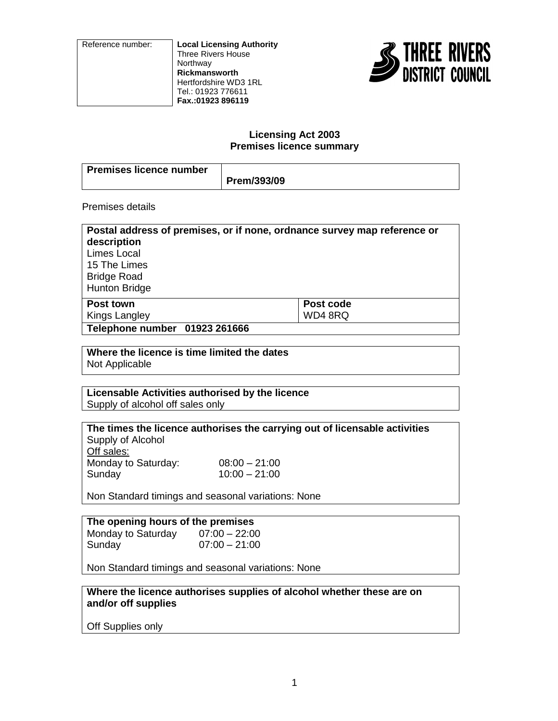Reference number: **Local Licensing Authority** Three Rivers House **Northway Rickmansworth** Hertfordshire WD3 1RL Tel.: 01923 776611 **Fax.:01923 896119**



#### **Licensing Act 2003 Premises licence summary**

| Premises licence number |             |
|-------------------------|-------------|
|                         | Prem/393/09 |

Premises details

| Postal address of premises, or if none, ordnance survey map reference or<br>description<br>Limes Local |           |
|--------------------------------------------------------------------------------------------------------|-----------|
| 15 The Limes<br><b>Bridge Road</b><br><b>Hunton Bridge</b>                                             |           |
| Post town                                                                                              | Post code |
| Kings Langley                                                                                          | WD48RQ    |
| Telephone number 01923 261666                                                                          |           |

**Where the licence is time limited the dates** Not Applicable

### **Licensable Activities authorised by the licence** Supply of alcohol off sales only

**The times the licence authorises the carrying out of licensable activities** Supply of Alcohol Off sales: Monday to Saturday: 08:00 – 21:00 Sunday 10:00 – 21:00

Non Standard timings and seasonal variations: None

#### **The opening hours of the premises** Monday to Saturday  $07:00 - 22:00$ Sunday 07:00 – 21:00

Non Standard timings and seasonal variations: None

**Where the licence authorises supplies of alcohol whether these are on and/or off supplies**

Off Supplies only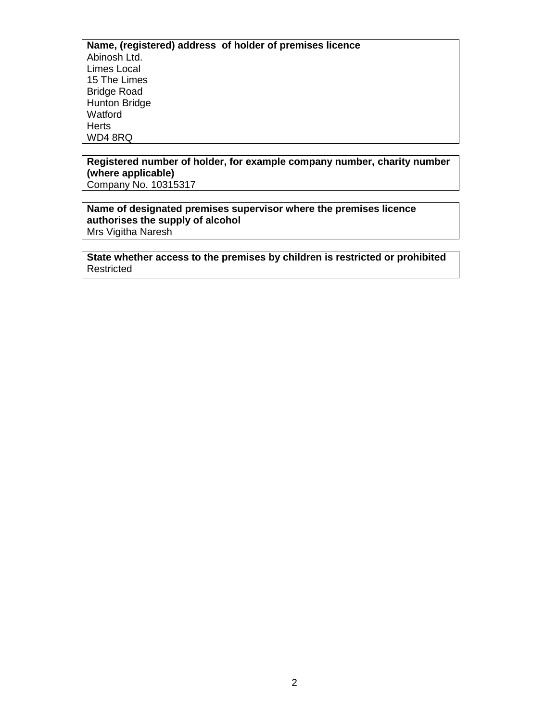**Name, (registered) address of holder of premises licence** Abinosh Ltd. Limes Local 15 The Limes Bridge Road Hunton Bridge **Watford Herts** WD4 8RQ

# **Registered number of holder, for example company number, charity number (where applicable)**

Company No. 10315317

#### **Name of designated premises supervisor where the premises licence authorises the supply of alcohol** Mrs Vigitha Naresh

**State whether access to the premises by children is restricted or prohibited Restricted**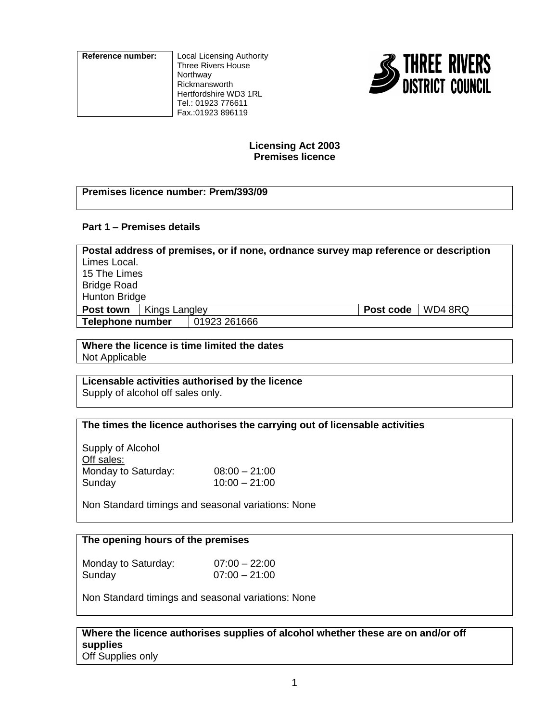**Reference number:** Local Licensing Authority Three Rivers House Northway Rickmansworth Hertfordshire WD3 1RL Tel.: 01923 776611 Fax.:01923 896119



# **Licensing Act 2003 Premises licence**

# **Premises licence number: Prem/393/09**

# **Part 1 – Premises details**

| Postal address of premises, or if none, ordnance survey map reference or description |               |           |         |  |
|--------------------------------------------------------------------------------------|---------------|-----------|---------|--|
| Limes Local.                                                                         |               |           |         |  |
| 15 The Limes                                                                         |               |           |         |  |
| <b>Bridge Road</b>                                                                   |               |           |         |  |
| <b>Hunton Bridge</b>                                                                 |               |           |         |  |
| Post town                                                                            | Kings Langley | Post code | WD4 8RQ |  |
| Telephone number                                                                     | 01923 261666  |           |         |  |

**Where the licence is time limited the dates** Not Applicable

# **Licensable activities authorised by the licence**

Supply of alcohol off sales only.

# **The times the licence authorises the carrying out of licensable activities**

Supply of Alcohol Off sales: Monday to Saturday: 08:00 - 21:00 Sunday 10:00 – 21:00

Non Standard timings and seasonal variations: None

# **The opening hours of the premises**

Monday to Saturday:  $07:00 - 22:00$ Sunday 07:00 – 21:00

Non Standard timings and seasonal variations: None

**Where the licence authorises supplies of alcohol whether these are on and/or off supplies** Off Supplies only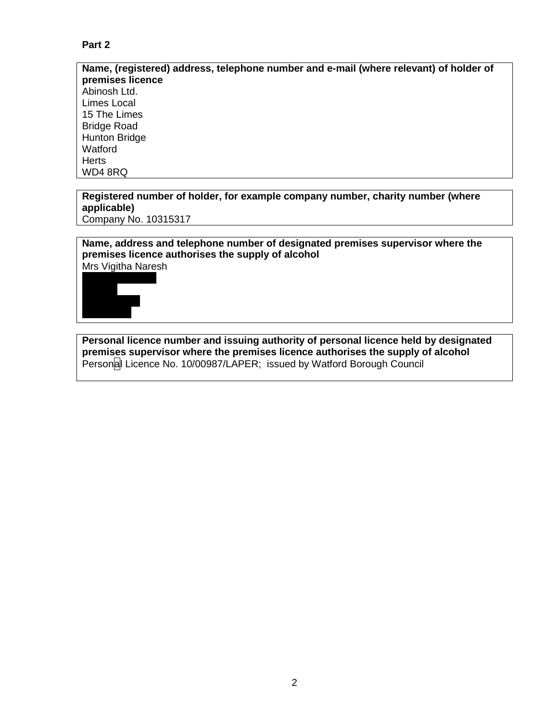# **Part 2**

**Name, (registered) address, telephone number and e-mail (where relevant) of holder of premises licence** Abinosh Ltd. Limes Local 15 The Limes Bridge Road Hunton Bridge Watford **Herts** WD4 8RQ

#### **Registered number of holder, for example company number, charity number (where applicable)** Company No. 10315317

**Name, address and telephone number of designated premises supervisor where the premises licence authorises the supply of alcohol**

Mrs Vigitha Naresh



**Personal licence number and issuing authority of personal licence held by designated premises supervisor where the premises licence authorises the supply of alcohol** Personal Licence No. 10/00987/LAPER; issued by Watford Borough Council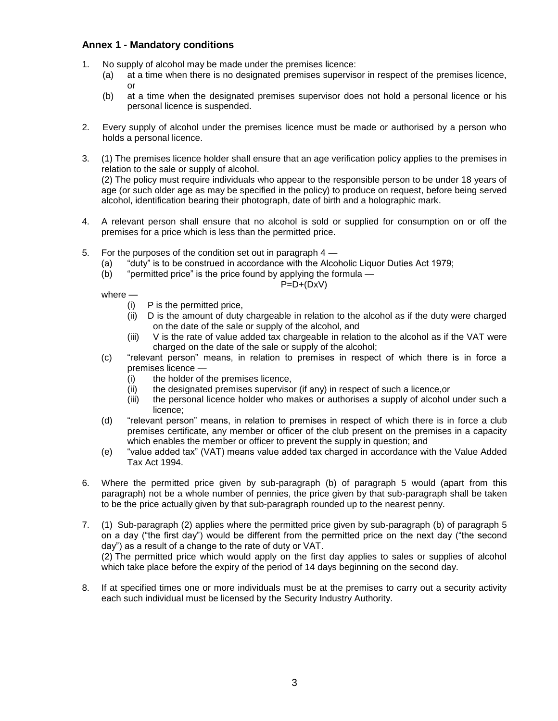#### **Annex 1 - Mandatory conditions**

- 1. No supply of alcohol may be made under the premises licence:
	- (a) at a time when there is no designated premises supervisor in respect of the premises licence, or
	- (b) at a time when the designated premises supervisor does not hold a personal licence or his personal licence is suspended.
- 2. Every supply of alcohol under the premises licence must be made or authorised by a person who holds a personal licence.
- 3. (1) The premises licence holder shall ensure that an age verification policy applies to the premises in relation to the sale or supply of alcohol.

(2) The policy must require individuals who appear to the responsible person to be under 18 years of age (or such older age as may be specified in the policy) to produce on request, before being served alcohol, identification bearing their photograph, date of birth and a holographic mark.

- 4. A relevant person shall ensure that no alcohol is sold or supplied for consumption on or off the premises for a price which is less than the permitted price.
- 5. For the purposes of the condition set out in paragraph 4
	- (a) "duty" is to be construed in accordance with the Alcoholic Liquor Duties Act 1979;
	- (b) "permitted price" is the price found by applying the formula —

 $P=D+(DxV)$ 

- where
	- (i) P is the permitted price,
	- (ii) D is the amount of duty chargeable in relation to the alcohol as if the duty were charged on the date of the sale or supply of the alcohol, and
	- (iii) V is the rate of value added tax chargeable in relation to the alcohol as if the VAT were charged on the date of the sale or supply of the alcohol;
- (c) "relevant person" means, in relation to premises in respect of which there is in force a premises licence —
	- (i) the holder of the premises licence,
	- (ii) the designated premises supervisor (if any) in respect of such a licence,or
	- (iii) the personal licence holder who makes or authorises a supply of alcohol under such a licence;
- (d) "relevant person" means, in relation to premises in respect of which there is in force a club premises certificate, any member or officer of the club present on the premises in a capacity which enables the member or officer to prevent the supply in question; and
- (e) "value added tax" (VAT) means value added tax charged in accordance with the Value Added Tax Act 1994.
- 6. Where the permitted price given by sub-paragraph (b) of paragraph 5 would (apart from this paragraph) not be a whole number of pennies, the price given by that sub-paragraph shall be taken to be the price actually given by that sub-paragraph rounded up to the nearest penny.
- 7. (1) Sub-paragraph (2) applies where the permitted price given by sub-paragraph (b) of paragraph 5 on a day ("the first day") would be different from the permitted price on the next day ("the second day") as a result of a change to the rate of duty or VAT. (2) The permitted price which would apply on the first day applies to sales or supplies of alcohol which take place before the expiry of the period of 14 days beginning on the second day.
- 8. If at specified times one or more individuals must be at the premises to carry out a security activity each such individual must be licensed by the Security Industry Authority.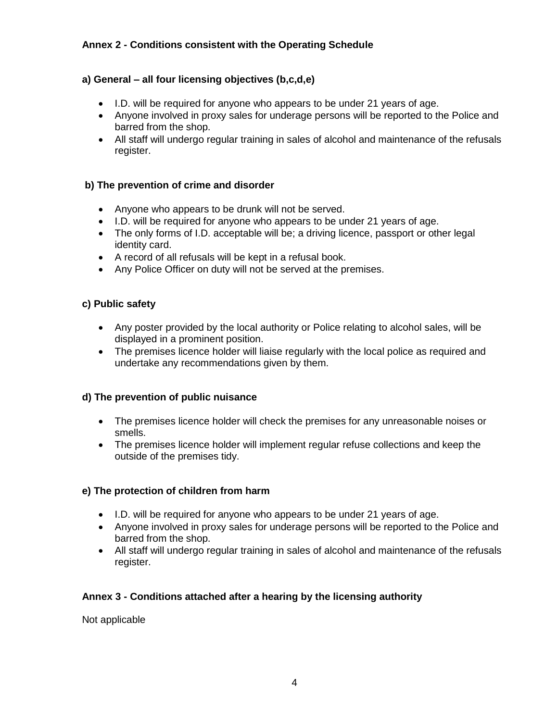# **Annex 2 - Conditions consistent with the Operating Schedule**

# **a) General – all four licensing objectives (b,c,d,e)**

- I.D. will be required for anyone who appears to be under 21 years of age.
- Anyone involved in proxy sales for underage persons will be reported to the Police and barred from the shop.
- All staff will undergo regular training in sales of alcohol and maintenance of the refusals register.

# **b) The prevention of crime and disorder**

- Anyone who appears to be drunk will not be served.
- I.D. will be required for anyone who appears to be under 21 years of age.
- The only forms of I.D. acceptable will be; a driving licence, passport or other legal identity card.
- A record of all refusals will be kept in a refusal book.
- Any Police Officer on duty will not be served at the premises.

# **c) Public safety**

- Any poster provided by the local authority or Police relating to alcohol sales, will be displayed in a prominent position.
- The premises licence holder will liaise regularly with the local police as required and undertake any recommendations given by them.

# **d) The prevention of public nuisance**

- The premises licence holder will check the premises for any unreasonable noises or smells.
- The premises licence holder will implement regular refuse collections and keep the outside of the premises tidy.

# **e) The protection of children from harm**

- I.D. will be required for anyone who appears to be under 21 years of age.
- Anyone involved in proxy sales for underage persons will be reported to the Police and barred from the shop.
- All staff will undergo regular training in sales of alcohol and maintenance of the refusals register.

# **Annex 3 - Conditions attached after a hearing by the licensing authority**

Not applicable